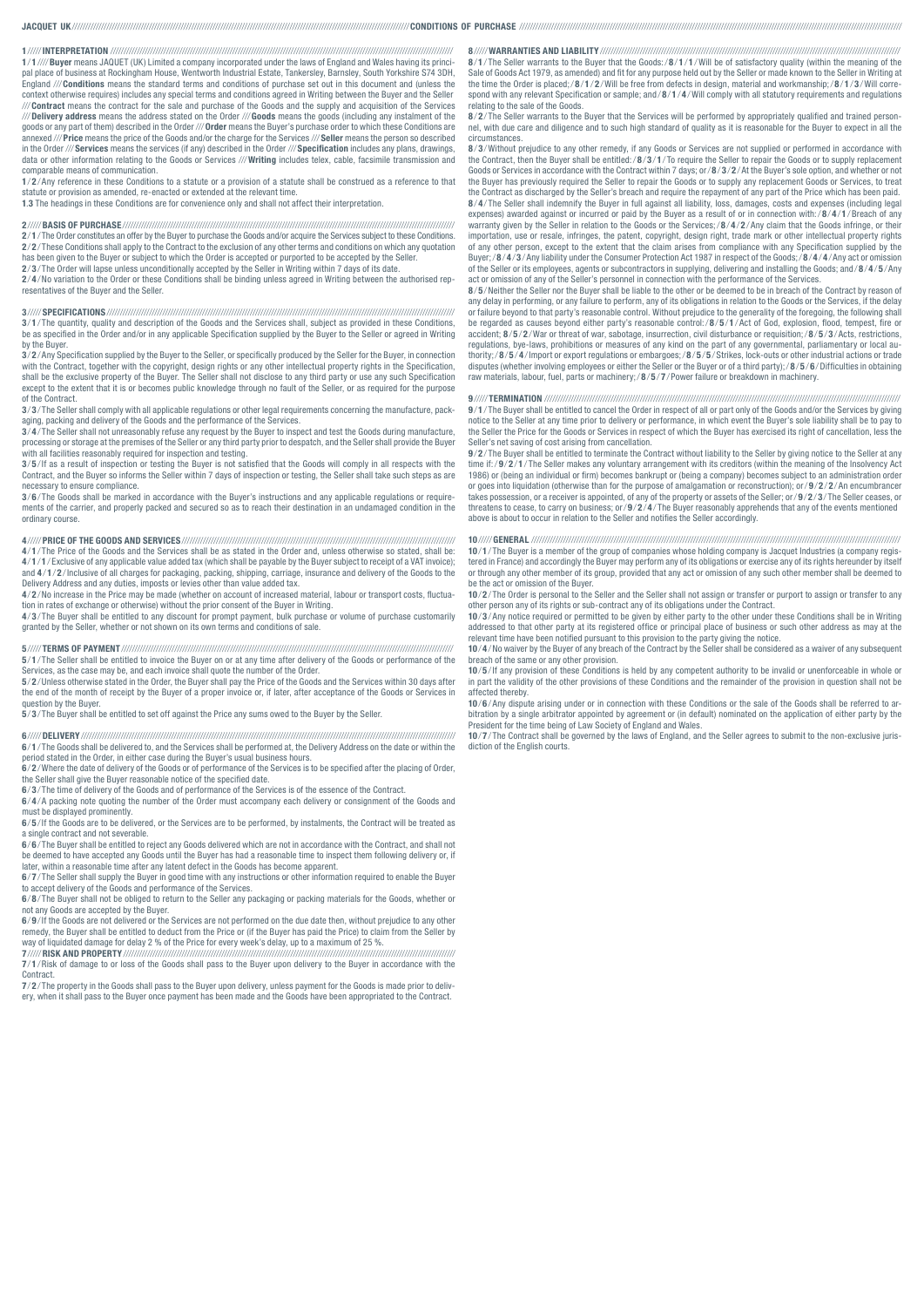# JACQUET UK///////////////////////////////////////////////////////////////////////////////////////////////////////////////////////////////CONDITIONS OF PURCHASE ////////////////////////////////////////////////////////////////////////////////////////////////////////////////////////////////////////////////

#### 1 /////INTERPRETATION /////////////////////////////////////////////////////////////////////////////////////////////////////////////////////////////////

1 / 1 ////Buyer means JAQUET (UK) Limited a company incorporated under the laws of England and Wales having its principal place of business at Rockingham House, Wentworth Industrial Estate, Tankersley, Barnsley, South Yorkshire S74 3DH, England ///Conditions means the standard terms and conditions of purchase set out in this document and (unless the context otherwise requires) includes any special terms and conditions agreed in Writing between the Buyer and the Seller ///Contract means the contract for the sale and purchase of the Goods and the supply and acquisition of the Services /// **Delivery address** means the address stated on the Order /// **Goods** means the goods (including any instalment of the<br>goods or any part of them) described in the Order /// **Order** means the Buyer's purchase order to wh annexed /// **Price** means the price of the Goods and/or the charge for the Services /// **Seller** means the person so described<br>in the Order /// **Services** means the services (if any) described in the Order /// **Specificati** data or other information relating to the Goods or Services ///Writing includes telex, cable, facsimile transmission and comparable means of communication.

1/2/Any reference in these Conditions to a statute or a provision of a statute shall be construed as a reference to that<br>statute or provision as amended, re-enacted or extended at the relevant time.

1.3 The headings in these Conditions are for convenience only and shall not affect their interpretation.

#### 2 /////BASIS OF PURCHASE /////////////////////////////////////////////////////////////////////////////////////////////////////////////////////////////

2 / 1 / The Order constitutes an offer by the Buyer to purchase the Goods and/or acquire the Services subject to these Conditions. 2/2/These Conditions shall apply to the Contract to the exclusion of any other terms and conditions on which any quotation<br>has been given to the Buyer or subject to which the Order is accepted or purported to be accepted b

2/3/The Order will lapse unless unconditionally accepted by the Seller in Writing within 7 days of its date.

2/4/No variation to the Order or these Conditions shall be binding unless agreed in Writing between the authorised representatives of the Buyer and the Seller.

#### 3 /////SPECIFICATIONS///////////////////////////////////////////////////////////////////////////////////////////////////////////////////////////////////

3 / 1 / The quantity, quality and description of the Goods and the Services shall, subject as provided in these Conditions, be as specified in the Order and/or in any applicable Specification supplied by the Buyer to the Seller or agreed in Writing by the Buyer.

 $3/2$ /Any Specification supplied by the Buyer to the Seller, or specifically produced by the Seller for the Buyer, in connection with the Contract, together with the copyright, design rights or any other intellectual property rights in the Specification, shall be the exclusive property of the Buyer. The Seller shall not disclose to any third party or use any such Specification<br>except to the extent that it is or becomes public knowledge through no fault of the Seller, or as of the Contract.

3/3/The Seller shall comply with all applicable regulations or other legal requirements concerning the manufacture, packaging, packing and delivery of the Goods and the performance of the Services.

3 / 4 / The Seller shall not unreasonably refuse any request by the Buyer to inspect and test the Goods during manufacture, processing or storage at the premises of the Seller or any third party prior to despatch, and the Seller shall provide the Buyer with all facilities reasonably required for inspection and testing.

**3**/5/If as a result of inspection or testing the Buyer is not satisfied that the Goods will comply in all respects with the<br>Contract, and the Buyer so informs the Seller within 7 days of inspection or testing, the Seller necessary to ensure compliance.

3/6/The Goods shall be marked in accordance with the Buyer's instructions and any applicable regulations or requirements of the carrier, and properly packed and secured so as to reach their destination in an undamaged condition in the ordinary course.

#### 4 /////PRICE OF THE GOODS AND SERVICES///////////////////////////////////////////////////////////////////////////////////////////////////////

4/1/The Price of the Goods and the Services shall be as stated in the Order and, unless otherwise so stated, shall be:<br>4/1/1/Exclusive of any applicable value added tax (which shall be payable by the Buyer subject to recei and 4/1/2/Inclusive of all charges for packaging, packing, shipping, carriage, insurance and delivery of the Goods to the Delivery Address and any duties, imposts or levies other than value added tax.

4 / 2 /No increase in the Price may be made (whether on account of increased material, labour or transport costs, fluctua-tion in rates of exchange or otherwise) without the prior consent of the Buyer in Writing.

**4/3**/The Buyer shall be entitled to any discount for prompt payment, bulk purchase or volume of purchase customarily<br>granted by the Seller, whether or not shown on its own terms and conditions of sale.

# 5 ///// TERMS OF PAYMENT /////////////////////////////////////////////////////////////////////////////////////////////////////////////////////////////

5 / 1 / The Seller shall be entitled to invoice the Buyer on or at any time after delivery of the Goods or performance of the Services, as the case may be, and each invoice shall quote the number of the Order.

5/2/Unless otherwise stated in the Order, the Buyer shall pay the Price of the Goods and the Services within 30 days after<br>the end of the month of receipt by the Buyer of a proper invoice or, if later, after acceptance of question by the Buyer.

5 / 3 / The Buyer shall be entitled to set off against the Price any sums owed to the Buyer by the Seller.

#### 6 /////DELIVERY/////////////////////////////////////////////////////////////////////////////////////////////////////////////////////////////////////////////

6 / 1 / The Goods shall be delivered to, and the Services shall be performed at, the Delivery Address on the date or within the period stated in the Order, in either case during the Buyer's usual business hours.

6 / 2 /Where the date of delivery of the Goods or of performance of the Services is to be specified after the placing of Order, the Seller shall give the Buyer reasonable notice of the specified date.

6/3/The time of delivery of the Goods and of performance of the Services is of the essence of the Contract.

6 / 4 / A packing note quoting the number of the Order must accompany each delivery or consignment of the Goods and must be displayed prominently.

6 / 5 /If the Goods are to be delivered, or the Services are to be performed, by instalments, the Contract will be treated as a single contract and not severable.

6 / 6 / The Buyer shall be entitled to reject any Goods delivered which are not in accordance with the Contract, and shall not be deemed to have accepted any Goods until the Buyer has had a reasonable time to inspect them following delivery or, if later, within a reasonable time after any latent defect in the Goods has become apparent.

6/7/The Seller shall supply the Buyer in good time with any instructions or other information required to enable the Buyer tept delivery of the Goods and performance of the Services.

6 / 8 / The Buyer shall not be obliged to return to the Seller any packaging or packing materials for the Goods, whether or not any Goods are accepted by the Buyer.

6 / 9 /If the Goods are not delivered or the Services are not performed on the due date then, without prejudice to any other remedy, the Buyer shall be entitled to deduct from the Price or (if the Buyer has paid the Price) to claim from the Seller by way of liquidated damage for delay 2 % of the Price for every week's delay, up to a maximum of 25 %.

7 /////RISK AND PROPERTY///////////////////////////////////////////////////////////////////////////////////////////////////////////////////////////// 7 / 1 /Risk of damage to or loss of the Goods shall pass to the Buyer upon delivery to the Buyer in accordance with the **Contract** 

7 / 2 / The property in the Goods shall pass to the Buyer upon delivery, unless payment for the Goods is made prior to delivery, when it shall pass to the Buyer once payment has been made and the Goods have been appropriated to the Contract.

## 8 /////WARRANTIES AND LIABILITY/////////////////////////////////////////////////////////////////////////////////////////////////////////////////

8/1/The Seller warrants to the Buyer that the Goods:/8/1/1/Will be of satisfactory quality (within the meaning of the Sale of Goods Act 1979, as amended) and fit for any purpose held out by the Seller or made known to the Seller in Writing at<br>the time the Order is placed;/8/1/2/Will be free from defects in design, material and workmanship spond with any relevant Specification or sample; and / 8 / 1 / 4 /Will comply with all statutory requirements and regulations relating to the sale of the Goods.

8/2/The Seller warrants to the Buyer that the Services will be performed by appropriately qualified and trained person-<br>nel, with due care and diligence and to such high standard of quality as it is reasonable for the Buye circumstances.

8/3/Without prejudice to any other remedy, if any Goods or Services are not supplied or performed in accordance with the Contract, then the Buyer shall be entitled:/ 8 / 3 / 1 / To require the Seller to repair the Goods or to supply replacement Goods or Services in accordance with the Contract within 7 days; or/ 8 / 3 / 2 / At the Buyer's sole option, and whether or not the Buyer has previously required the Seller to repair the Goods or to supply any replacement Goods or Services, to treat<br>the Contract as discharged by the Seller's breach and require the repayment of any part of the Price **8**/4/The Seller shall indemnify the Buyer in full against all liability, loss, damages, costs and expenses (including legal<br>expenses) awarded against or incurred or paid by the Buyer as a result of or in connection with:/ warranty given by the Seller in relation to the Goods or the Services; /8/4/2/Any claim that the Goods infringe, or their importation, use or resale, infringes, the patent, copyright, design right, trade mark or other intellectual property rights of any other person, except to the extent that the claim arises from compliance with any Specification supplied by the<br>Buyer;/8/4/3/Any liability under the Consumer Protection Act 1987 in respect of the Goods;/8/4/4/Any ac of the Seller or its employees, agents or subcontractors in supplying, delivering and installing the Goods; and/8/4/5/Any<br>act or omission of any of the Seller's personnel in connection with the performance of the Services.

8 / 5 /Neither the Seller nor the Buyer shall be liable to the other or be deemed to be in breach of the Contract by reason of any delay in performing, or any failure to perform, any of its obligations in relation to the Goods or the Services, if the delay or failure beyond to that party's reasonable control. Without prejudice to the generality of the foregoing, the following shall<br>be regarded as causes beyond either party's reasonable control:/8/5/1/Act of God, explosion, f accident; 8/5/2/War or threat of war, sabotage, insurrection, civil disturbance or requisition;/8/5/3/Acts, restrictions,<br>regulations, bye-laws, prohibitions or measures of any kind on the part of any governmental, parliam thority;/8/5/4/Import or export regulations or embargoes;/8/5/5/Strikes, lock-outs or other industrial actions or trade<br>disputes (whether involving employees or either the Seller or the Buyer or of a third party);/8/5/6/Di raw materials, labour, fuel, parts or machinery;/ 8 / 5 / 7 / Power failure or breakdown in machinery.

### 9 ///// TERMINATION //////////////////////////////////////////////////////////////////////////////////////////////////////////////////////////////////////

9/1/The Buyer shall be entitled to cancel the Order in respect of all or part only of the Goods and/or the Services by giving notice to the Seller at any time prior to delivery or performance, in which event the Buyer's sole liability shall be to pay to the Seller the Price for the Goods or Services in respect of which the Buyer has exercised its right of cancellation, less the Seller's net saving of cost arising from cancellation.

9 / 2 / The Buyer shall be entitled to terminate the Contract without liability to the Seller by giving notice to the Seller at any time if:/9/2/1/The Seller makes any voluntary arrangement with its creditors (within the meaning of the Insolvency Act<br>1986) or (being an individual or firm) becomes bankrupt or (being a company) becomes subject to an admi or goes into liquidation (otherwise than for the purpose of amalgamation or reconstruction); or  $9/2/2$  / An encumbrancer takes possession, or a receiver is appointed, of any of the property or assets of the Seller; or/9/2/3/The Seller ceases, or threatens to cease, to carry on business;  $\frac{\text{or}}{9}$ / $\frac{2}{4}$ /The Buyer reasonably apprehends that any of the events mentioned above is about to occur in relation to the Seller and notifies the Seller accordingly.

#### 10 /////GENERAL ///////////////////////////////////////////////////////////////////////////////////////////////////////////////////////////////////////////

10 / 1 / The Buyer is a member of the group of companies whose holding company is Jacquet Industries (a company registered in France) and accordingly the Buyer may perform any of its obligations or exercise any of its rights hereunder by itself or through any other member of its group, provided that any act or omission of any such other member shall be deemed to be the act or omission of the Buver.

10 / 2 / The Order is personal to the Seller and the Seller shall not assign or transfer or purport to assign or transfer to any other person any of its rights or sub-contract any of its obligations under the Contract.

10 / 3 / Any notice required or permitted to be given by either party to the other under these Conditions shall be in Writing addressed to that other party at its registered office or principal place of business or such other address as may at the relevant time have been notified pursuant to this provision to the party giving the notice.

10 / 4 /No waiver by the Buyer of any breach of the Contract by the Seller shall be considered as a waiver of any subsequent breach of the same or any other provision. 10 / 5 /If any provision of these Conditions is held by any competent authority to be invalid or unenforceable in whole or

in part the validity of the other provisions of these Conditions and the remainder of the provision in question shall not be affected thereby.

10 / 6 /Any dispute arising under or in connection with these Conditions or the sale of the Goods shall be referred to arbitration by a single arbitrator appointed by agreement or (in default) nominated on the application of either party by the President for the time being of Law Society of England and Wales.

10/7/The Contract shall be governed by the laws of England, and the Seller agrees to submit to the non-exclusive juris diction of the English courts.